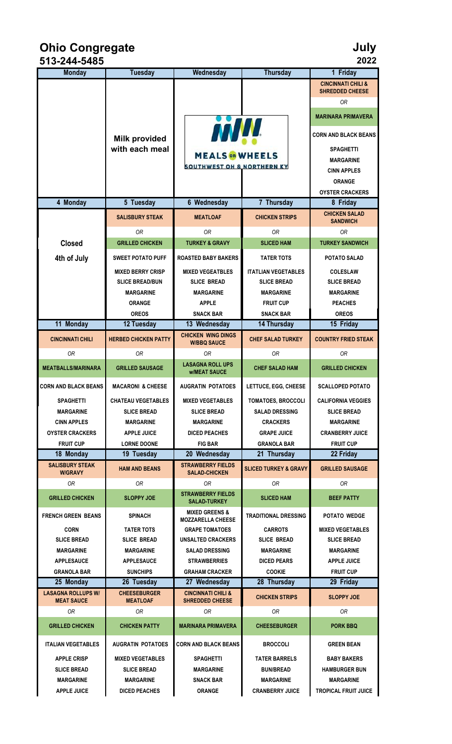**Ohio Congregate July**

| 513-244-5485                        |                               |                                                       |                                  | 2022                                    |
|-------------------------------------|-------------------------------|-------------------------------------------------------|----------------------------------|-----------------------------------------|
| <b>Monday</b>                       | <b>Tuesday</b>                | Wednesday                                             | <b>Thursday</b>                  | 1 Friday                                |
|                                     |                               |                                                       |                                  | <b>CINCINNATI CHILI &amp;</b>           |
|                                     |                               |                                                       |                                  | <b>SHREDDED CHEESE</b>                  |
|                                     |                               |                                                       |                                  | <b>OR</b>                               |
|                                     |                               | MARINARA PRIMAVERA                                    |                                  |                                         |
|                                     | <b>Milk provided</b>          | <b>MW</b>                                             | <b>CORN AND BLACK BEANS</b>      |                                         |
|                                     | with each meal                |                                                       | <b>SPAGHETTI</b>                 |                                         |
|                                     |                               | <b>MEALS</b> on WHEELS                                |                                  | <b>MARGARINE</b>                        |
|                                     |                               | <b>SOUTHWEST OH &amp; NORTHERN KY</b>                 |                                  | <b>CINN APPLES</b>                      |
|                                     |                               |                                                       |                                  | <b>ORANGE</b>                           |
|                                     |                               |                                                       |                                  | <b>OYSTER CRACKERS</b>                  |
| 4 Monday                            | 5 Tuesday                     | <b>6 Wednesday</b>                                    | 7 Thursday                       | 8 Friday                                |
|                                     | <b>SALISBURY STEAK</b>        | <b>MEATLOAF</b>                                       | <b>CHICKEN STRIPS</b>            | <b>CHICKEN SALAD</b><br><b>SANDWICH</b> |
|                                     | 0R                            | 0R                                                    | 0R                               | 0R                                      |
| <b>Closed</b>                       | <b>GRILLED CHICKEN</b>        | <b>TURKEY &amp; GRAVY</b>                             | <b>SLICED HAM</b>                | <b>TURKEY SANDWICH</b>                  |
| 4th of July                         | <b>SWEET POTATO PUFF</b>      | <b>ROASTED BABY BAKERS</b>                            | <b>TATER TOTS</b>                | POTATO SALAD                            |
|                                     | <b>MIXED BERRY CRISP</b>      | <b>MIXED VEGEATBLES</b>                               | <b>ITATLIAN VEGETABLES</b>       | <b>COLESLAW</b>                         |
|                                     | <b>SLICE BREAD/BUN</b>        | <b>SLICE BREAD</b>                                    | <b>SLICE BREAD</b>               | <b>SLICE BREAD</b>                      |
|                                     | <b>MARGARINE</b>              | <b>MARGARINE</b>                                      | <b>MARGARINE</b>                 | <b>MARGARINE</b>                        |
|                                     | ORANGE                        | <b>APPLE</b>                                          | <b>FRUIT CUP</b>                 | <b>PEACHES</b>                          |
|                                     | <b>OREOS</b>                  | <b>SNACK BAR</b>                                      | <b>SNACK BAR</b>                 | <b>OREOS</b>                            |
| 11 Monday                           | 12 Tuesday                    | 13 Wednesday                                          | 14 Thursday                      | 15 Friday                               |
| <b>CINCINNATI CHILI</b>             | <b>HERBED CHICKEN PATTY</b>   | <b>CHICKEN WING DINGS</b><br><b>W/BBQ SAUCE</b>       | <b>CHEF SALAD TURKEY</b>         | <b>COUNTRY FRIED STEAK</b>              |
| 0R                                  | 0R                            | 0R                                                    | 0R                               | <b>OR</b>                               |
| <b>MEATBALLS/MARINARA</b>           | <b>GRILLED SAUSAGE</b>        | <b>LASAGNA ROLL UPS</b><br><b>w/MEAT SAUCE</b>        | <b>CHEF SALAD HAM</b>            | <b>GRILLED CHICKEN</b>                  |
| <b>CORN AND BLACK BEANS</b>         | <b>MACARONI &amp; CHEESE</b>  | <b>AUGRATIN POTATOES</b>                              | LETTUCE, EGG, CHEESE             | <b>SCALLOPED POTATO</b>                 |
| <b>SPAGHETTI</b>                    | <b>CHATEAU VEGETABLES</b>     | <b>MIXED VEGETABLES</b>                               | <b>TOMATOES, BROCCOLI</b>        | <b>CALIFORNIA VEGGIES</b>               |
| <b>MARGARINE</b>                    | <b>SLICE BREAD</b>            | <b>SLICE BREAD</b>                                    | <b>SALAD DRESSING</b>            | <b>SLICE BREAD</b>                      |
| <b>CINN APPLES</b>                  | <b>MARGARINE</b>              | <b>MARGARINE</b>                                      | <b>CRACKERS</b>                  | <b>MARGARINE</b>                        |
| <b>OYSTER CRACKERS</b>              | <b>APPLE JUICE</b>            | <b>DICED PEACHES</b>                                  | <b>GRAPE JUICE</b>               | <b>CRANBERRY JUICE</b>                  |
| <b>FRUIT CUP</b>                    | <b>LORNE DOONE</b>            | <b>FIG BAR</b><br>20 Wednesday                        | <b>GRANOLA BAR</b>               | <b>FRUIT CUP</b>                        |
| 18 Monday<br><b>SALISBURY STEAK</b> | 19 Tuesday                    | <b>STRAWBERRY FIELDS</b>                              | 21 Thursday                      | 22 Friday                               |
| <b>W/GRAVY</b>                      | <b>HAM AND BEANS</b>          | <b>SALAD-CHICKEN</b>                                  | <b>SLICED TURKEY &amp; GRAVY</b> | <b>GRILLED SAUSAGE</b>                  |
| 0R                                  | 0R                            | 0R                                                    | 0R                               | 0R                                      |
| <b>GRILLED CHICKEN</b>              | <b>SLOPPY JOE</b>             | <b>STRAWBERRY FIELDS</b><br><b>SALAD-TURKEY</b>       | <b>SLICED HAM</b>                | <b>BEEF PATTY</b>                       |
| <b>FRENCH GREEN BEANS</b>           | <b>SPINACH</b>                | <b>MIXED GREENS &amp;</b><br><b>MOZZARELLA CHEESE</b> | <b>TRADITIONAL DRESSING</b>      | POTATO WEDGE                            |
| <b>CORN</b>                         | <b>TATER TOTS</b>             | <b>GRAPE TOMATOES</b>                                 | <b>CARROTS</b>                   | <b>MIXED VEGETABLES</b>                 |
| <b>SLICE BREAD</b>                  | <b>SLICE BREAD</b>            | <b>UNSALTED CRACKERS</b>                              | <b>SLICE BREAD</b>               | <b>SLICE BREAD</b>                      |
| <b>MARGARINE</b>                    | <b>MARGARINE</b>              | <b>SALAD DRESSING</b>                                 | <b>MARGARINE</b>                 | <b>MARGARINE</b>                        |
| <b>APPLESAUCE</b>                   | <b>APPLESAUCE</b>             | <b>STRAWBERRIES</b>                                   | <b>DICED PEARS</b>               | <b>APPLE JUICE</b>                      |
| <b>GRANOLA BAR</b><br>25 Monday     | <b>SUNCHIPS</b><br>26 Tuesday | <b>GRAHAM CRACKER</b><br>27 Wednesday                 | <b>COOKIE</b><br>28 Thursday     | <b>FRUIT CUP</b><br>29 Friday           |
| <b>LASAGNA ROLLUPS W/</b>           | <b>CHEESEBURGER</b>           | <b>CINCINNATI CHILI &amp;</b>                         |                                  |                                         |
| <b>MEAT SAUCE</b><br>0R             | <b>MEATLOAF</b><br>0R         | <b>SHREDDED CHEESE</b><br>0R                          | <b>CHICKEN STRIPS</b><br>0R      | <b>SLOPPY JOE</b><br>0R                 |
|                                     |                               |                                                       |                                  |                                         |
| <b>GRILLED CHICKEN</b>              | <b>CHICKEN PATTY</b>          | <b>MARINARA PRIMAVERA</b>                             | <b>CHEESEBURGER</b>              | <b>PORK BBQ</b>                         |
| <b>ITALIAN VEGETABLES</b>           | <b>AUGRATIN POTATOES</b>      | <b>CORN AND BLACK BEANS</b>                           | <b>BROCCOLI</b>                  | <b>GREEN BEAN</b>                       |
| <b>APPLE CRISP</b>                  | <b>MIXED VEGETABLES</b>       | <b>SPAGHETTI</b>                                      | <b>TATER BARRELS</b>             | <b>BABY BAKERS</b>                      |
| <b>SLICE BREAD</b>                  | <b>SLICE BREAD</b>            | <b>MARGARINE</b>                                      | <b>BUN/BREAD</b>                 | <b>HAMBURGER BUN</b>                    |
| <b>MARGARINE</b>                    | <b>MARGARINE</b>              | <b>SNACK BAR</b>                                      | <b>MARGARINE</b>                 | <b>MARGARINE</b>                        |
| <b>APPLE JUICE</b>                  | <b>DICED PEACHES</b>          | <b>ORANGE</b>                                         | <b>CRANBERRY JUICE</b>           | <b>TROPICAL FRUIT JUICE</b>             |